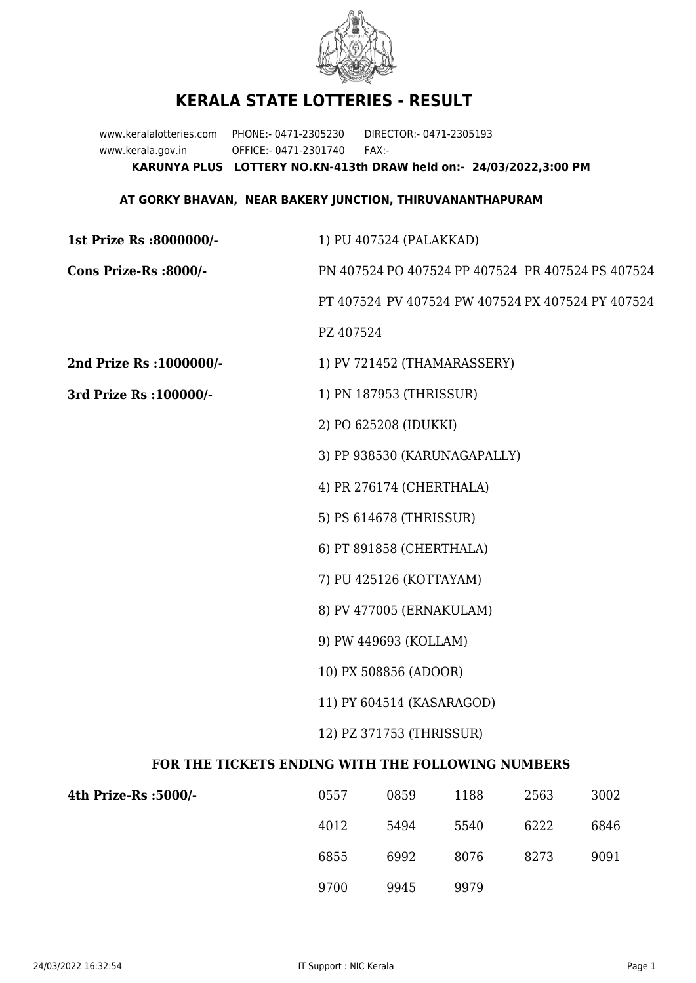

## **KERALA STATE LOTTERIES - RESULT**

www.keralalotteries.com PHONE:- 0471-2305230 DIRECTOR:- 0471-2305193 www.kerala.gov.in OFFICE:- 0471-2301740 FAX:- **KARUNYA PLUS LOTTERY NO.KN-413th DRAW held on:- 24/03/2022,3:00 PM**

## **AT GORKY BHAVAN, NEAR BAKERY JUNCTION, THIRUVANANTHAPURAM**

| 1st Prize Rs :8000000/-                           | 1) PU 407524 (PALAKKAD)                           |                             |                                                   |      |      |  |  |
|---------------------------------------------------|---------------------------------------------------|-----------------------------|---------------------------------------------------|------|------|--|--|
| Cons Prize-Rs :8000/-                             | PN 407524 PO 407524 PP 407524 PR 407524 PS 407524 |                             |                                                   |      |      |  |  |
|                                                   |                                                   |                             | PT 407524 PV 407524 PW 407524 PX 407524 PY 407524 |      |      |  |  |
|                                                   | PZ 407524                                         |                             |                                                   |      |      |  |  |
| 2nd Prize Rs : 1000000/-                          |                                                   | 1) PV 721452 (THAMARASSERY) |                                                   |      |      |  |  |
| 3rd Prize Rs : 100000/-                           | 1) PN 187953 (THRISSUR)                           |                             |                                                   |      |      |  |  |
|                                                   |                                                   | 2) PO 625208 (IDUKKI)       |                                                   |      |      |  |  |
|                                                   |                                                   |                             | 3) PP 938530 (KARUNAGAPALLY)                      |      |      |  |  |
|                                                   |                                                   | 4) PR 276174 (CHERTHALA)    |                                                   |      |      |  |  |
|                                                   |                                                   | 5) PS 614678 (THRISSUR)     |                                                   |      |      |  |  |
|                                                   |                                                   | 6) PT 891858 (CHERTHALA)    |                                                   |      |      |  |  |
|                                                   | 7) PU 425126 (KOTTAYAM)                           |                             |                                                   |      |      |  |  |
|                                                   | 8) PV 477005 (ERNAKULAM)                          |                             |                                                   |      |      |  |  |
|                                                   | 9) PW 449693 (KOLLAM)                             |                             |                                                   |      |      |  |  |
|                                                   | 10) PX 508856 (ADOOR)                             |                             |                                                   |      |      |  |  |
|                                                   | 11) PY 604514 (KASARAGOD)                         |                             |                                                   |      |      |  |  |
|                                                   | 12) PZ 371753 (THRISSUR)                          |                             |                                                   |      |      |  |  |
| FOR THE TICKETS ENDING WITH THE FOLLOWING NUMBERS |                                                   |                             |                                                   |      |      |  |  |
| 4th Prize-Rs : 5000/-                             | 0557                                              | 0859                        | 1188                                              | 2563 | 3002 |  |  |

| 4th Prize-Rs :5000/- | 0557 | 0859 | 1188 | 2563 | 3002 |
|----------------------|------|------|------|------|------|
|                      | 4012 | 5494 | 5540 | 6222 | 6846 |
|                      | 6855 | 6992 | 8076 | 8273 | 9091 |
|                      | 9700 | 9945 | 9979 |      |      |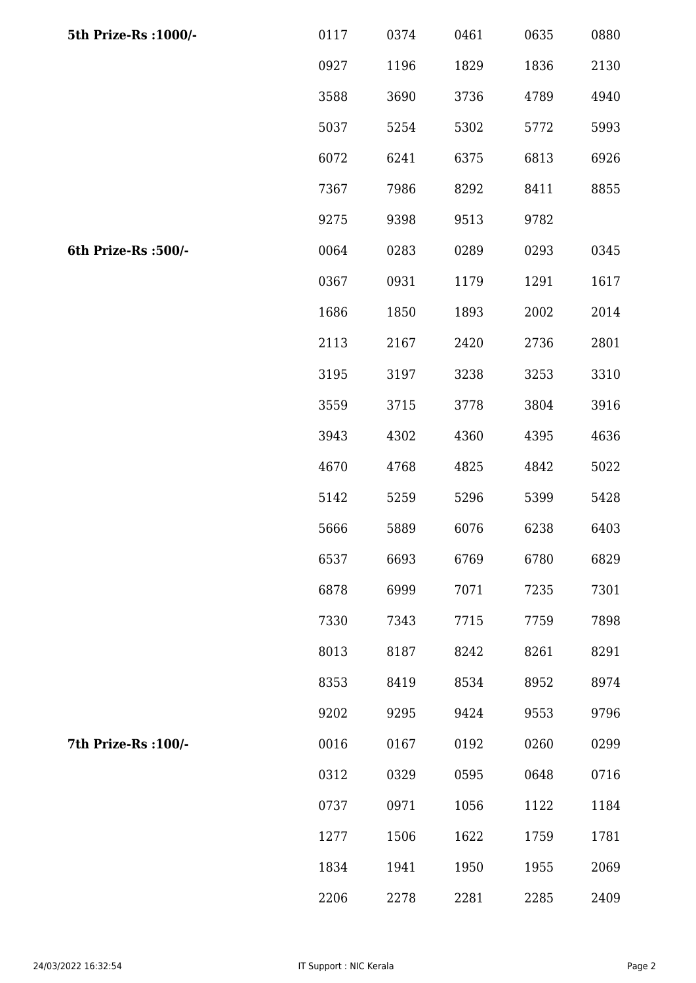| 5th Prize-Rs : 1000/- | 0117 | 0374 | 0461 | 0635 | 0880 |
|-----------------------|------|------|------|------|------|
|                       | 0927 | 1196 | 1829 | 1836 | 2130 |
|                       | 3588 | 3690 | 3736 | 4789 | 4940 |
|                       | 5037 | 5254 | 5302 | 5772 | 5993 |
|                       | 6072 | 6241 | 6375 | 6813 | 6926 |
|                       | 7367 | 7986 | 8292 | 8411 | 8855 |
|                       | 9275 | 9398 | 9513 | 9782 |      |
| 6th Prize-Rs :500/-   | 0064 | 0283 | 0289 | 0293 | 0345 |
|                       | 0367 | 0931 | 1179 | 1291 | 1617 |
|                       | 1686 | 1850 | 1893 | 2002 | 2014 |
|                       | 2113 | 2167 | 2420 | 2736 | 2801 |
|                       | 3195 | 3197 | 3238 | 3253 | 3310 |
|                       | 3559 | 3715 | 3778 | 3804 | 3916 |
|                       | 3943 | 4302 | 4360 | 4395 | 4636 |
|                       | 4670 | 4768 | 4825 | 4842 | 5022 |
|                       | 5142 | 5259 | 5296 | 5399 | 5428 |
|                       | 5666 | 5889 | 6076 | 6238 | 6403 |
|                       | 6537 | 6693 | 6769 | 6780 | 6829 |
|                       | 6878 | 6999 | 7071 | 7235 | 7301 |
|                       | 7330 | 7343 | 7715 | 7759 | 7898 |
|                       | 8013 | 8187 | 8242 | 8261 | 8291 |
|                       | 8353 | 8419 | 8534 | 8952 | 8974 |
|                       | 9202 | 9295 | 9424 | 9553 | 9796 |
| 7th Prize-Rs : 100/-  | 0016 | 0167 | 0192 | 0260 | 0299 |
|                       | 0312 | 0329 | 0595 | 0648 | 0716 |
|                       | 0737 | 0971 | 1056 | 1122 | 1184 |
|                       | 1277 | 1506 | 1622 | 1759 | 1781 |
|                       | 1834 | 1941 | 1950 | 1955 | 2069 |
|                       | 2206 | 2278 | 2281 | 2285 | 2409 |